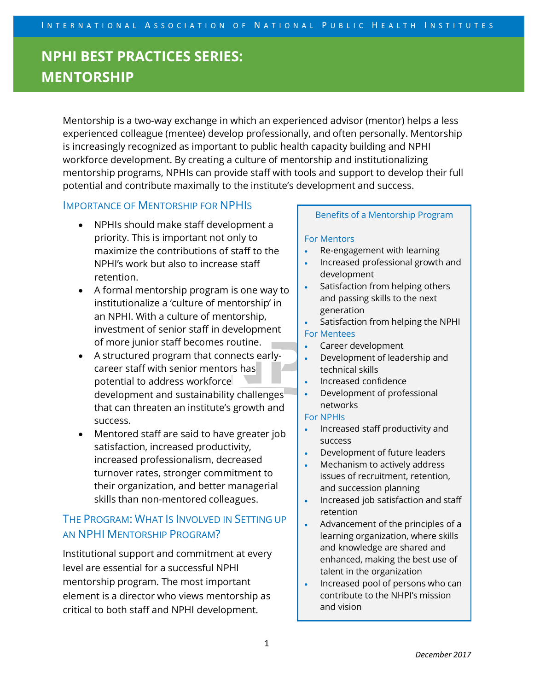Mentorship is a two-way exchange in which an experienced advisor (mentor) helps a less experienced colleague (mentee) develop professionally, and often personally. Mentorship is increasingly recognized as important to public health capacity building and NPHI workforce development. By creating a culture of mentorship and institutionalizing mentorship programs, NPHIs can provide staff with tools and support to develop their full potential and contribute maximally to the institute's development and success.

### IMPORTANCE OF MENTORSHIP FOR NPHIS

- NPHIs should make staff development a priority. This is important not only to maximize the contributions of staff to the NPHI's work but also to increase staff retention.
- A formal mentorship program is one way to institutionalize a 'culture of mentorship' in an NPHI. With a culture of mentorship, investment of senior staff in development of more junior staff becomes routine.
- A structured program that connects earlycareer staff with senior mentors has potential to address workforce development and sustainability challenges that can threaten an institute's growth and success.
- Mentored staff are said to have greater job satisfaction, increased productivity, increased professionalism, decreased turnover rates, stronger commitment to their organization, and better managerial skills than non-mentored colleagues.

## THE PROGRAM: WHAT IS INVOLVED IN SETTING UP AN NPHI MENTORSHIP PROGRAM?

Institutional support and commitment at every level are essential for a successful NPHI mentorship program. The most important element is a director who views mentorship as critical to both staff and NPHI development.

### Benefits of a Mentorship Program

#### For Mentors

- Re-engagement with learning
- Increased professional growth and development
- Satisfaction from helping others and passing skills to the next generation
- Satisfaction from helping the NPHI For Mentees
- Career development
- Development of leadership and technical skills
- Increased confidence
- Development of professional networks

#### For NPHIs

- Increased staff productivity and success
- Development of future leaders
- Mechanism to actively address issues of recruitment, retention, and succession planning
- Increased job satisfaction and staff retention
- Advancement of the principles of a learning organization, where skills and knowledge are shared and enhanced, making the best use of talent in the organization
- Increased pool of persons who can contribute to the NHPI's mission and vision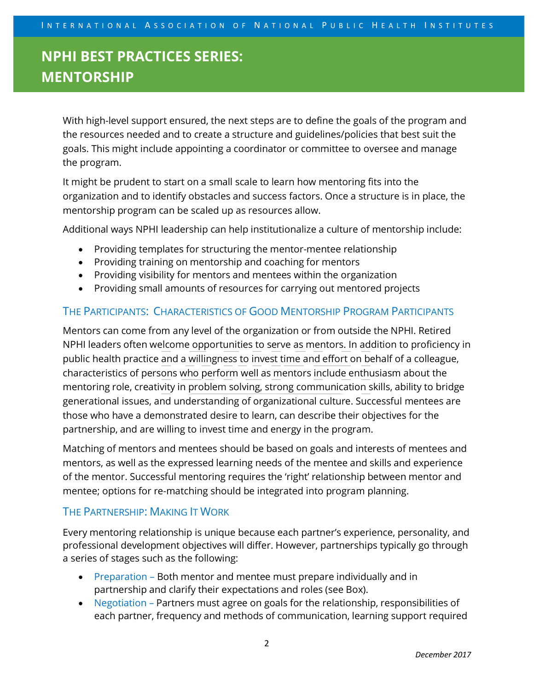With high-level support ensured, the next steps are to define the goals of the program and the resources needed and to create a structure and guidelines/policies that best suit the goals. This might include appointing a coordinator or committee to oversee and manage the program.

It might be prudent to start on a small scale to learn how mentoring fits into the organization and to identify obstacles and success factors. Once a structure is in place, the mentorship program can be scaled up as resources allow.

Additional ways NPHI leadership can help institutionalize a culture of mentorship include:

- Providing templates for structuring the mentor-mentee relationship
- Providing training on mentorship and coaching for mentors
- Providing visibility for mentors and mentees within the organization
- Providing small amounts of resources for carrying out mentored projects

### THE PARTICIPANTS: CHARACTERISTICS OF GOOD MENTORSHIP PROGRAM PARTICIPANTS

Mentors can come from any level of the organization or from outside the NPHI. Retired NPHI leaders often welcome opportunities to serve as mentors. In addition to proficiency in public health practice and a willingness to invest time and effort on behalf of a colleague, characteristics of persons who perform well as mentors include enthusiasm about the mentoring role, creativity in problem solving, strong communication skills, ability to bridge generational issues, and understanding of organizational culture. Successful mentees are those who have a demonstrated desire to learn, can describe their objectives for the partnership, and are willing to invest time and energy in the program.

Matching of mentors and mentees should be based on goals and interests of mentees and mentors, as well as the expressed learning needs of the mentee and skills and experience of the mentor. Successful mentoring requires the 'right' relationship between mentor and mentee; options for re-matching should be integrated into program planning.

### THE PARTNERSHIP: MAKING IT WORK

Every mentoring relationship is unique because each partner's experience, personality, and professional development objectives will differ. However, partnerships typically go through a series of stages such as the following:

- Preparation Both mentor and mentee must prepare individually and in partnership and clarify their expectations and roles (see Box).
- Negotiation Partners must agree on goals for the relationship, responsibilities of each partner, frequency and methods of communication, learning support required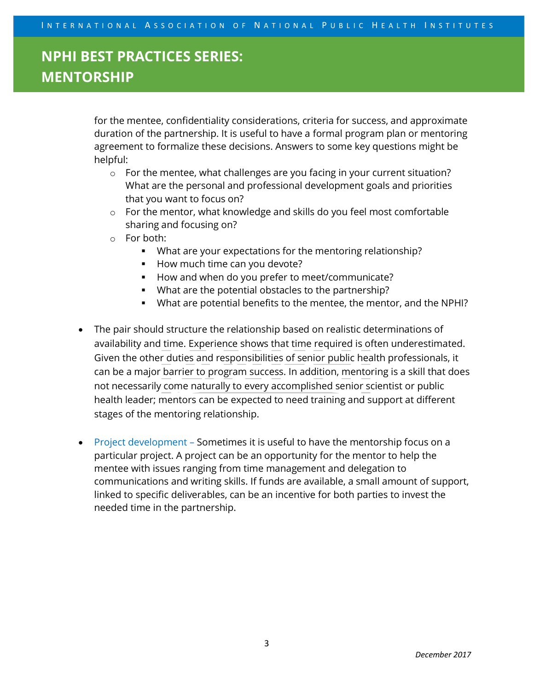for the mentee, confidentiality considerations, criteria for success, and approximate duration of the partnership. It is useful to have a formal program plan or mentoring agreement to formalize these decisions. Answers to some key questions might be helpful:

- o For the mentee, what challenges are you facing in your current situation? What are the personal and professional development goals and priorities that you want to focus on?
- o For the mentor, what knowledge and skills do you feel most comfortable sharing and focusing on?
- o For both:
	- § What are your expectations for the mentoring relationship?
	- § How much time can you devote?
	- § How and when do you prefer to meet/communicate?
	- § What are the potential obstacles to the partnership?
	- § What are potential benefits to the mentee, the mentor, and the NPHI?
- The pair should structure the relationship based on realistic determinations of availability and time. Experience shows that time required is often underestimated. Given the other duties and responsibilities of senior public health professionals, it can be a major barrier to program success. In addition, mentoring is a skill that does not necessarily come naturally to every accomplished senior scientist or public health leader; mentors can be expected to need training and support at different stages of the mentoring relationship.
- Project development Sometimes it is useful to have the mentorship focus on a particular project. A project can be an opportunity for the mentor to help the mentee with issues ranging from time management and delegation to communications and writing skills. If funds are available, a small amount of support, linked to specific deliverables, can be an incentive for both parties to invest the needed time in the partnership.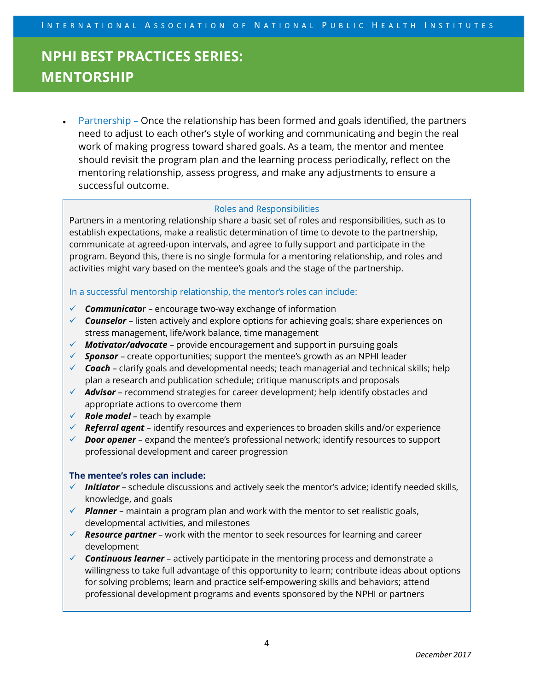• Partnership – Once the relationship has been formed and goals identified, the partners need to adjust to each other's style of working and communicating and begin the real work of making progress toward shared goals. As a team, the mentor and mentee should revisit the program plan and the learning process periodically, reflect on the mentoring relationship, assess progress, and make any adjustments to ensure a successful outcome.

#### Roles and Responsibilities

Partners in a mentoring relationship share a basic set of roles and responsibilities, such as to establish expectations, make a realistic determination of time to devote to the partnership, communicate at agreed-upon intervals, and agree to fully support and participate in the program. Beyond this, there is no single formula for a mentoring relationship, and roles and activities might vary based on the mentee's goals and the stage of the partnership.

#### In a successful mentorship relationship, the mentor's roles can include:

- ü *Communicato*r encourage two-way exchange of information
- ü *Counselor* listen actively and explore options for achieving goals; share experiences on stress management, life/work balance, time management
- ü *Motivator/advocate* provide encouragement and support in pursuing goals
- $\checkmark$  **Sponsor** create opportunities; support the mentee's growth as an NPHI leader
- $\checkmark$  **Coach** clarify goals and developmental needs; teach managerial and technical skills; help plan a research and publication schedule; critique manuscripts and proposals
- **△ Advisor** recommend strategies for career development; help identify obstacles and appropriate actions to overcome them
- $\sqrt{\phantom{a}}$  **Role model** teach by example
- ü *Referral agent* identify resources and experiences to broaden skills and/or experience
- ü *Door opener* expand the mentee's professional network; identify resources to support professional development and career progression

#### **The mentee's roles can include:**

- **Initiator** schedule discussions and actively seek the mentor's advice; identify needed skills, knowledge, and goals
- $\checkmark$  **Planner** maintain a program plan and work with the mentor to set realistic goals, developmental activities, and milestones
- ü *Resource partner* work with the mentor to seek resources for learning and career development
- $\checkmark$  **Continuous learner** actively participate in the mentoring process and demonstrate a willingness to take full advantage of this opportunity to learn; contribute ideas about options for solving problems; learn and practice self-empowering skills and behaviors; attend professional development programs and events sponsored by the NPHI or partners